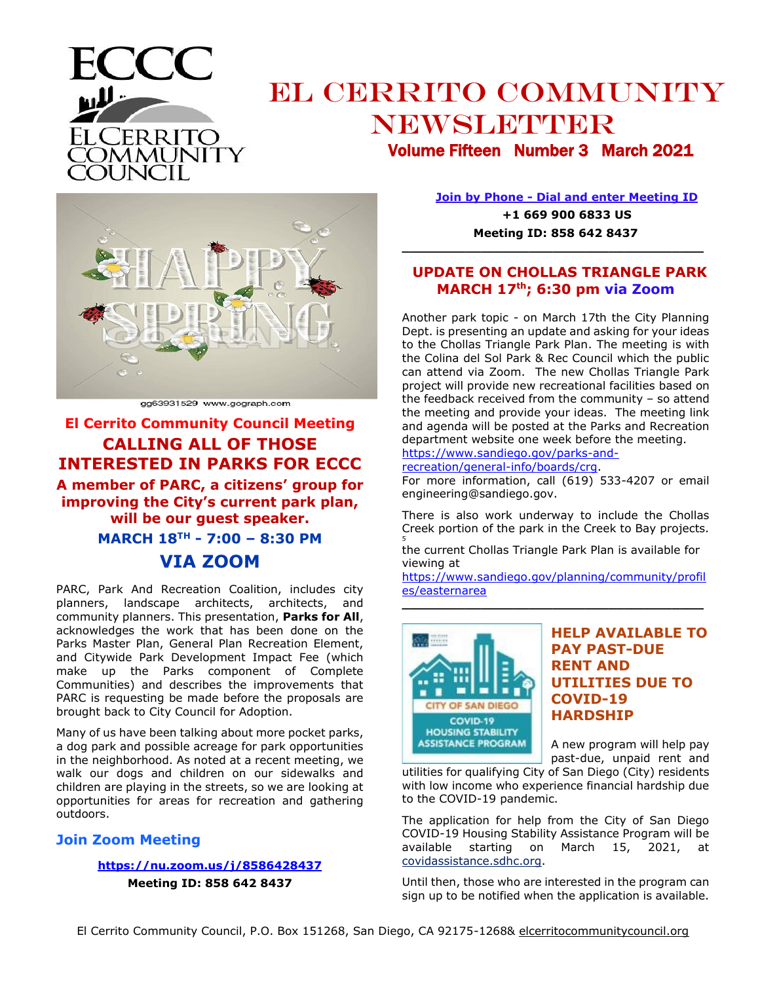

## EL CERRITO COMMUNITY NEWSLETTER Volume Fifteen Number 3 March 2021



gg63931529 www.gograph.com

### **El Cerrito Community Council Meeting CALLING ALL OF THOSE INTERESTED IN PARKS FOR ECCC**

**A member of PARC, a citizens' group for improving the City's current park plan, will be our guest speaker. MARCH 18TH - 7:00 – 8:30 PM VIA ZOOM**

PARC, Park And Recreation Coalition, includes city planners, landscape architects, architects, and community planners. This presentation, **Parks for All**, acknowledges the work that has been done on the Parks Master Plan, General Plan Recreation Element, and Citywide Park Development Impact Fee (which make up the Parks component of Complete Communities) and describes the improvements that PARC is requesting be made before the proposals are brought back to City Council for Adoption.

Many of us have been talking about more pocket parks, a dog park and possible acreage for park opportunities in the neighborhood. As noted at a recent meeting, we walk our dogs and children on our sidewalks and children are playing in the streets, so we are looking at opportunities for areas for recreation and gathering outdoors.

#### **Join Zoom Meeting**

#### **<https://nu.zoom.us/j/8586428437>**

**Meeting ID: 858 642 8437**

**Join by Phone - Dial and enter Meeting ID +1 669 900 6833 US**

**Meeting ID: 858 642 8437 \_\_\_\_\_\_\_\_\_\_\_\_\_\_\_\_\_\_\_\_\_\_\_\_\_\_\_\_\_\_\_\_\_\_\_\_\_\_**

#### **UPDATE ON CHOLLAS TRIANGLE PARK MARCH 17th; 6:30 pm via Zoom**

Another park topic - on March 17th the City Planning Dept. is presenting an update and asking for your ideas to the Chollas Triangle Park Plan. The meeting is with the Colina del Sol Park & Rec Council which the public can attend via Zoom. The new Chollas Triangle Park project will provide new recreational facilities based on the feedback received from the community – so attend the meeting and provide your ideas. The meeting link and agenda will be posted at the Parks and Recreation department website one week before the meeting.

[https://www.sandiego.gov/parks-and-](https://www.sandiego.gov/parks-and-recreation/general-info/boards/crg)

[recreation/general-info/boards/crg.](https://www.sandiego.gov/parks-and-recreation/general-info/boards/crg)

For more information, call (619) 533-4207 or email engineering@sandiego.gov.

There is also work underway to include the Chollas Creek portion of the park in the Creek to Bay projects. 5

the current Chollas Triangle Park Plan is available for viewing at

[https://www.sandiego.gov/planning/community/profil](https://www.sandiego.gov/planning/community/profiles/easternarea) [es/easternarea](https://www.sandiego.gov/planning/community/profiles/easternarea) **\_\_\_\_\_\_\_\_\_\_\_\_\_\_\_\_\_\_\_\_\_\_\_\_\_\_\_\_\_\_\_\_\_\_\_\_\_\_**



#### **HELP AVAILABLE TO PAY PAST-DUE RENT AND UTILITIES DUE TO COVID-19 HARDSHIP**

A new program will help pay past-due, unpaid rent and

utilities for qualifying City of San Diego (City) residents with low income who experience financial hardship due to the COVID-19 pandemic.

The application for help from the City of San Diego COVID-19 Housing Stability Assistance Program will be available starting on March  $15, 2021,$ [covidassistance.sdhc.org.](https://covidassistance.sdhc.org/)

Until then, those who are interested in the program can sign up to be notified when the application is available.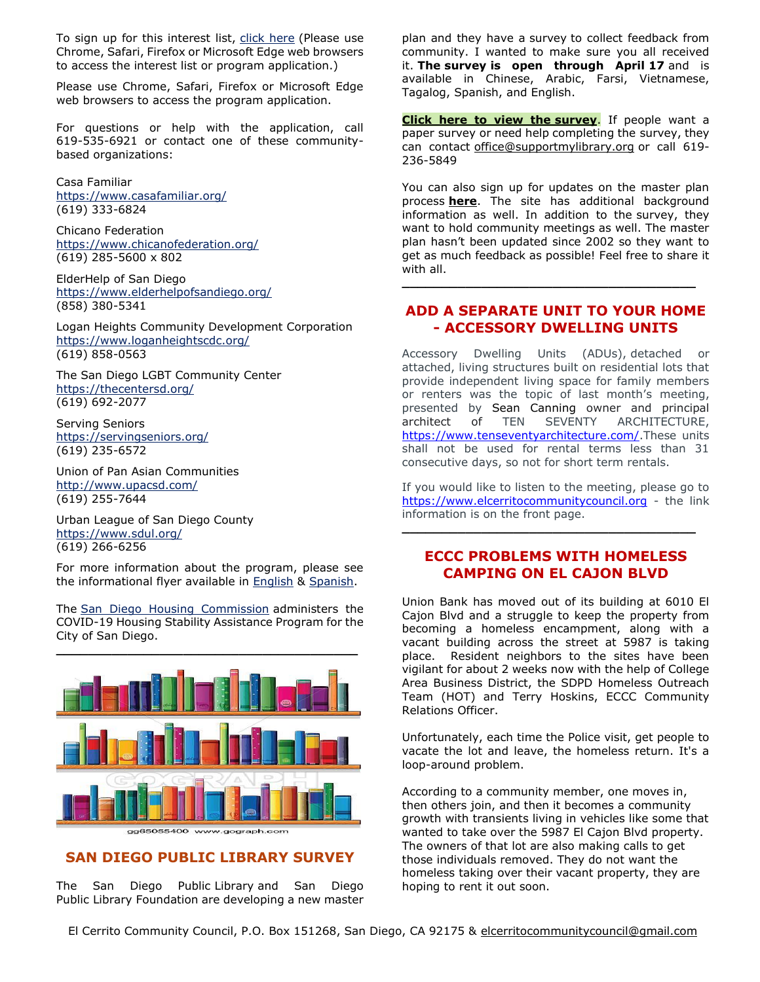To sign up for this interest list, [click here](https://urldefense.proofpoint.com/v2/url?u=https-3A__covidapplication.sdhc.org_Subscriptions_Create&d=DwMGaQ&c=qwHaVVscXk_NBWd7DQFk0g&r=osAqryNFDy-26en7RVEJbA&m=DNQUjewJ94-CBmXz7cQ4hh1QZhLpNTiSUoSpAmzz9LY&s=Ls3CL4MBF1ttQP-PAp5Pyn4x9DamzPkwGP_IPgY54N8&e=) (Please use Chrome, Safari, Firefox or Microsoft Edge web browsers to access the interest list or program application.)

Please use Chrome, Safari, Firefox or Microsoft Edge web browsers to access the program application.

For questions or help with the application, call 619-535-6921 or contact one of these communitybased organizations:

Casa Familiar <https://www.casafamiliar.org/> (619) 333-6824

Chicano Federation <https://www.chicanofederation.org/> (619) 285-5600 x 802

ElderHelp of San Diego <https://www.elderhelpofsandiego.org/> (858) 380-5341

Logan Heights Community Development Corporation <https://www.loganheightscdc.org/> (619) 858-0563

The San Diego LGBT Community Center <https://thecentersd.org/> (619) 692-2077

Serving Seniors <https://servingseniors.org/> (619) 235-6572

Union of Pan Asian Communities <http://www.upacsd.com/> (619) 255-7644

Urban League of San Diego County <https://www.sdul.org/> (619) 266-6256

For more information about the program, please see the informational flyer available in [English](https://www.sdhc.org/wp-content/uploads/2021/03/HSAP-Details-Flyer.pdf) & [Spanish.](https://www.sdhc.org/wp-content/uploads/2021/03/HSAP-Details-Flyer_Spanish.pdf)

The [San Diego Housing Commission](http://www.sdhc.org/) administers the COVID-19 Housing Stability Assistance Program for the City of San Diego.



#### **SAN DIEGO PUBLIC LIBRARY SURVEY**

The San Diego Public Library and San Diego Public Library Foundation are developing a new master plan and they have a survey to collect feedback from community. I wanted to make sure you all received it. **The survey is open through April 17** and is available in Chinese, Arabic, Farsi, Vietnamese, Tagalog, Spanish, and English.

**[Click here to view the](https://surveyhero.com/c/sdpl) survey.** If people want a paper survey or need help completing the survey, they can contact [office@supportmylibrary.org](mailto:office@supportmylibrary.org) or call 619- 236-5849

You can also sign up for updates on the master plan process **[here](https://supportmylibrary.org/master-plan/)**. The site has additional background information as well. In addition to the survey, they want to hold community meetings as well. The master plan hasn't been updated since 2002 so they want to get as much feedback as possible! Feel free to share it with all.

#### **ADD A SEPARATE UNIT TO YOUR HOME - ACCESSORY DWELLING UNITS**

**\_\_\_\_\_\_\_\_\_\_\_\_\_\_\_\_\_\_\_\_\_\_\_\_\_\_\_\_\_\_\_\_\_\_\_\_\_**

Accessory Dwelling Units (ADUs), detached or attached, living structures built on residential lots that provide independent living space for family members or renters was the topic of last month's meeting, presented by Sean Canning owner and principal architect of TEN SEVENTY ARCHITECTURE, [https://www.tenseventyarchitecture.com/.](https://www.tenseventyarchitecture.com/)These units shall not be used for rental terms less than 31 consecutive days, so not for short term rentals.

If you would like to listen to the meeting, please go to [https://www.elcerritocommunitycouncil.org](https://www.tenseventyarchitecture.com/) - the link information is on the front page.

**\_\_\_\_\_\_\_\_\_\_\_\_\_\_\_\_\_\_\_\_\_\_\_\_\_\_\_\_\_\_\_\_\_\_\_\_\_**

#### **ECCC PROBLEMS WITH HOMELESS CAMPING ON EL CAJON BLVD**

Union Bank has moved out of its building at 6010 El Cajon Blvd and a struggle to keep the property from becoming a homeless encampment, along with a vacant building across the street at 5987 is taking place. Resident neighbors to the sites have been vigilant for about 2 weeks now with the help of College Area Business District, the SDPD Homeless Outreach Team (HOT) and Terry Hoskins, ECCC Community Relations Officer.

Unfortunately, each time the Police visit, get people to vacate the lot and leave, the homeless return. It's a loop-around problem.

According to a community member, one moves in, then others join, and then it becomes a community growth with transients living in vehicles like some that wanted to take over the 5987 El Cajon Blvd property. The owners of that lot are also making calls to get those individuals removed. They do not want the homeless taking over their vacant property, they are hoping to rent it out soon.

El Cerrito Community Council, P.O. Box 151268, San Diego, CA 92175 & elcerritocommunitycouncil@gmail.com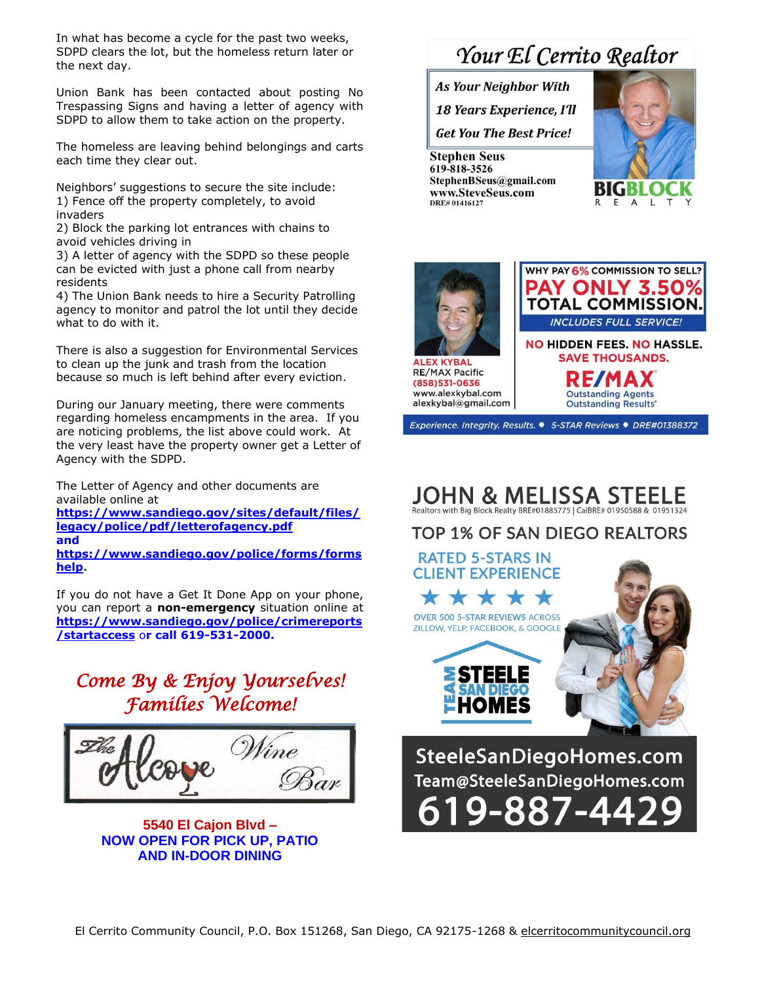In what has become a cycle for the past two weeks, SDPD clears the lot, but the homeless return later or the next day.

Union Bank has been contacted about posting No Trespassing Signs and having a letter of agency with SDPD to allow them to take action on the property.

The homeless are leaving behind belongings and carts each time they clear out.

Neighbors' suggestions to secure the site include: 1) Fence off the property completely, to avoid invaders

2) Block the parking lot entrances with chains to avoid vehicles driving in

3) A letter of agency with the SDPD so these people can be evicted with just a phone call from nearby residents

4) The Union Bank needs to hire a Security Patrolling agency to monitor and patrol the lot until they decide what to do with it.

There is also a suggestion for Environmental Services to clean up the junk and trash from the location because so much is left behind after every eviction.

During our January meeting, there were comments regarding homeless encampments in the area. If you are noticing problems, the list above could work. At the very least have the property owner get a Letter of Agency with the SDPD.

The Letter of Agency and other documents are available online at **[https://www.sandiego.gov/sites/default/files/](https://www.sandiego.gov/sites/default/files/legacy/police/pdf/letterofagency.pdf) [legacy/police/pdf/letterofagency.pdf](https://www.sandiego.gov/sites/default/files/legacy/police/pdf/letterofagency.pdf) [and](https://www.sandiego.gov/sites/default/files/legacy/police/pdf/letterofagency.pdf)  [https://www.sandiego.gov/police/forms/forms](https://www.sandiego.gov/police/forms/formshelp) [help.](https://www.sandiego.gov/police/forms/formshelp)**

If you do not have a Get It Done App on your phone, you can report a **non-emergency** situation online at **[https://www.sandiego.gov/police/crimereports](https://www.sandiego.gov/police/crimereports/startaccess) /startaccess** o**[r call 619-531-2000.](https://www.sandiego.gov/police/crimereports/startaccess)**

### *Come By & Enjoy Yourselves! Families Welcome!*



**5540 El Cajon Blvd – NOW OPEN FOR PICK UP, PATIO AND IN-DOOR DINING**

# Your El Cerrito Realtor

**As Your Neighbor With** 

**18 Years Experience, I'll** 

**Get You The Best Price!** 

**Stephen Seus** 619-818-3526 StephenBSeus@gmail.com www.SteveSeus.com DRE# 01416127







PAY ONLY 3.50% **TOTAL COMMISSION. INCLUDES FULL SERVICE! NO HIDDEN FEES, NO HASSLE. SAVE THOUSANDS. RE/MAX Outstanding Agents Outstanding Results®** 

WHY PAY 6% COMMISSION TO SELL?

Experience. Integrity. Results. ● 5-STAR Reviews ● DRE#01388372

#### **JOHN & MELISSA STEELE** Realtors with Big Block Realty BRE#01885775 | CalBRE# 01950588 & 01951324

TOP 1% OF SAN DIEGO REALTORS



9-887-4429